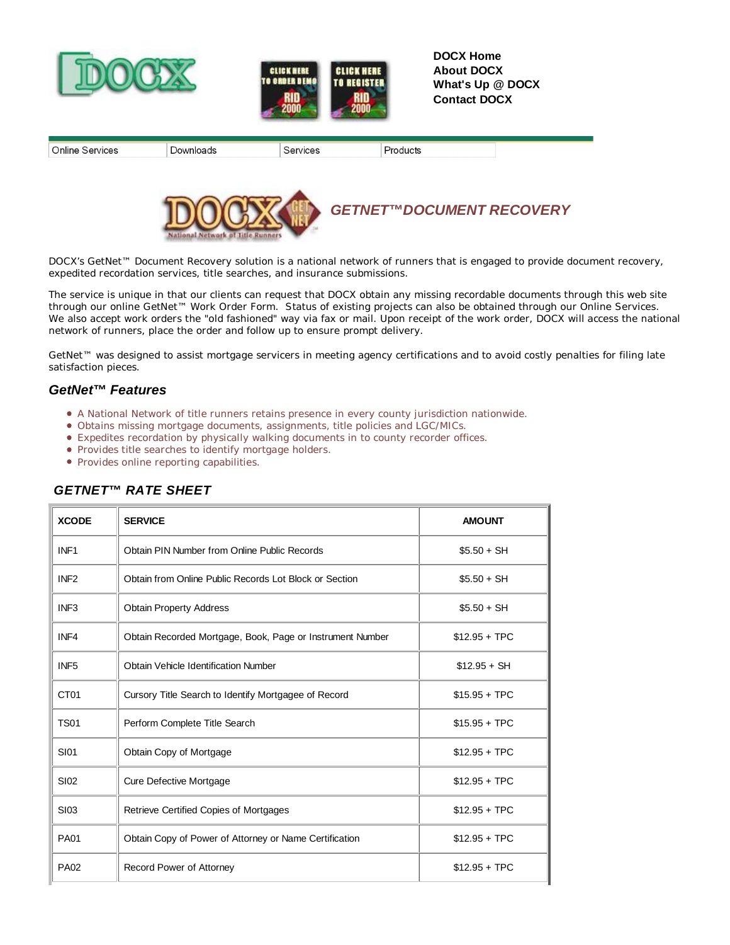



**DOCX Home About DOCX What's Up @ DOCX Contact DOCX**

| Online Services | Jownloads | Services | Products |  |
|-----------------|-----------|----------|----------|--|



 *GETNET™DOCUMENT RECOVERY*

DOCX's GetNet™ Document Recovery solution is a national network of runners that is engaged to provide document recovery, expedited recordation services, title searches, and insurance submissions.

The service is unique in that our clients can request that DOCX obtain any missing recordable documents through this web site through our online GetNet™ Work Order Form. Status of existing projects can also be obtained through our Online Services. We also accept work orders the "old fashioned" way via fax or mail. Upon receipt of the work order, DOCX will access the national network of runners, place the order and follow up to ensure prompt delivery.

GetNet™ was designed to assist mortgage servicers in meeting agency certifications and to avoid costly penalties for filing late satisfaction pieces.

## *GetNet™ Features*

- A National Network of title runners retains presence in every county jurisdiction nationwide.
- Obtains missing mortgage documents, assignments, title policies and LGC/MICs.
- Expedites recordation by physically walking documents in to county recorder offices.
- Provides title searches to identify mortgage holders.
- Provides online reporting capabilities.

| <b>XCODE</b>     | <b>SERVICE</b>                                            | <b>AMOUNT</b>  |
|------------------|-----------------------------------------------------------|----------------|
| INF <sub>1</sub> | Obtain PIN Number from Online Public Records              | $$5.50 + SH$   |
| INF <sub>2</sub> | Obtain from Online Public Records Lot Block or Section    | $$5.50 + SH$   |
| INF <sub>3</sub> | <b>Obtain Property Address</b>                            | $$5.50 + SH$   |
| INF4             | Obtain Recorded Mortgage, Book, Page or Instrument Number | $$12.95 + TPC$ |
| INF <sub>5</sub> | Obtain Vehicle Identification Number                      | $$12.95 + SH$  |
| CT <sub>01</sub> | Cursory Title Search to Identify Mortgagee of Record      | $$15.95 + TPC$ |
| <b>TS01</b>      | Perform Complete Title Search                             | $$15.95 + TPC$ |
| <b>SI01</b>      | Obtain Copy of Mortgage                                   | $$12.95 + TPC$ |
| <b>SI02</b>      | <b>Cure Defective Mortgage</b>                            | $$12.95 + TPC$ |
| <b>SI03</b>      | Retrieve Certified Copies of Mortgages                    | $$12.95 + TPC$ |
| <b>PA01</b>      | Obtain Copy of Power of Attorney or Name Certification    | $$12.95 + TPC$ |
| <b>PA02</b>      | Record Power of Attorney                                  | $$12.95 + TPC$ |

## *GETNET™ RATE SHEET*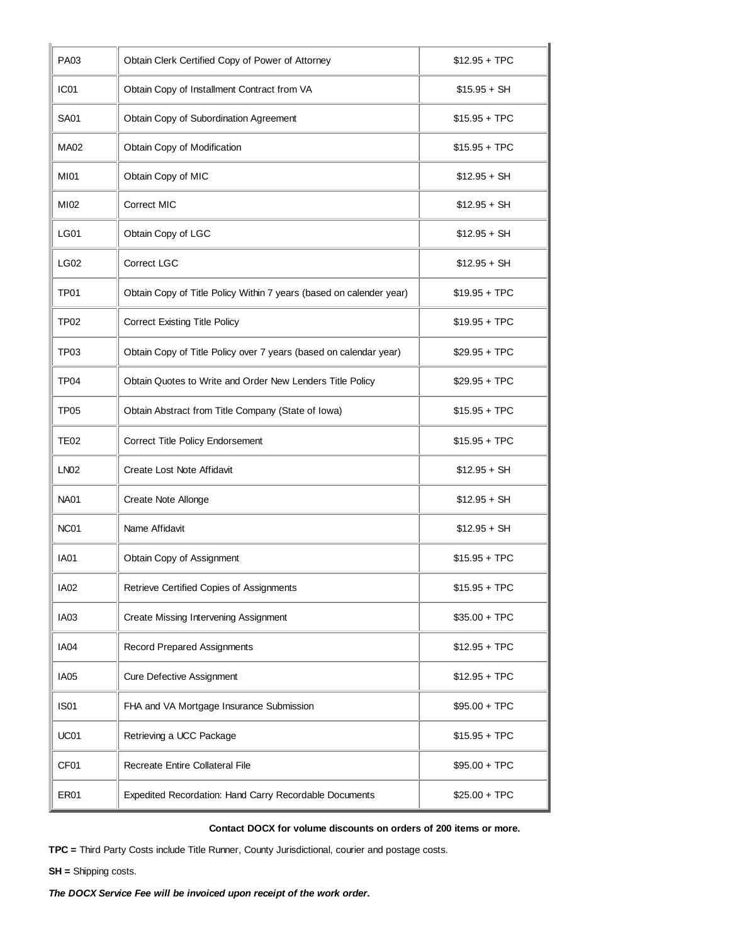| <b>PA03</b>      | Obtain Clerk Certified Copy of Power of Attorney                    | $$12.95 + TPC$ |
|------------------|---------------------------------------------------------------------|----------------|
| IC <sub>01</sub> | Obtain Copy of Installment Contract from VA                         | $$15.95 + SH$  |
| <b>SA01</b>      | Obtain Copy of Subordination Agreement                              | $$15.95 + TPC$ |
| <b>MA02</b>      | Obtain Copy of Modification                                         | $$15.95 + TPC$ |
| <b>MI01</b>      | Obtain Copy of MIC                                                  | $$12.95 + SH$  |
| MI02             | <b>Correct MIC</b>                                                  | $$12.95 + SH$  |
| LG01             | Obtain Copy of LGC                                                  | $$12.95 + SH$  |
| LG02             | Correct LGC                                                         | $$12.95 + SH$  |
| TP <sub>01</sub> | Obtain Copy of Title Policy Within 7 years (based on calender year) | $$19.95 + TPC$ |
| TP <sub>02</sub> | <b>Correct Existing Title Policy</b>                                | $$19.95 + TPC$ |
| TP03             | Obtain Copy of Title Policy over 7 years (based on calendar year)   | $$29.95 + TPC$ |
| TP <sub>04</sub> | Obtain Quotes to Write and Order New Lenders Title Policy           | $$29.95 + TPC$ |
| <b>TP05</b>      | Obtain Abstract from Title Company (State of Iowa)                  | $$15.95 + TPC$ |
| TE02             | Correct Title Policy Endorsement                                    | $$15.95 + TPC$ |
| LN <sub>02</sub> | Create Lost Note Affidavit                                          | $$12.95 + SH$  |
| <b>NA01</b>      | Create Note Allonge                                                 | $$12.95 + SH$  |
| NC <sub>01</sub> | Name Affidavit                                                      | $$12.95 + SH$  |
| <b>IA01</b>      | Obtain Copy of Assignment                                           | $$15.95 + TPC$ |
| <b>IA02</b>      | Retrieve Certified Copies of Assignments                            | $$15.95 + TPC$ |
| IA03             | <b>Create Missing Intervening Assignment</b>                        | $$35.00 + TPC$ |
| IA04             | <b>Record Prepared Assignments</b>                                  | $$12.95 + TPC$ |
| IA05             | <b>Cure Defective Assignment</b>                                    | $$12.95 + TPC$ |
| <b>IS01</b>      | FHA and VA Mortgage Insurance Submission                            | $$95.00 + TPC$ |
| UC01             | Retrieving a UCC Package                                            | $$15.95 + TPC$ |
| CF01             | Recreate Entire Collateral File                                     | $$95.00 + TPC$ |
| ER01             | Expedited Recordation: Hand Carry Recordable Documents              | $$25.00 + TPC$ |

## **Contact DOCX for volume discounts on orders of 200 items or more.**

**TPC =** Third Party Costs include Title Runner, County Jurisdictional, courier and postage costs.

**SH =** Shipping costs.

*The DOCX Service Fee will be invoiced upon receipt of the work order.*